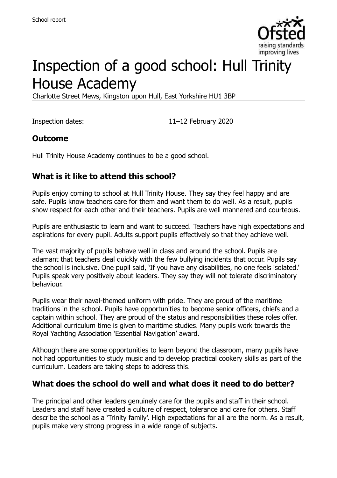

# Inspection of a good school: Hull Trinity House Academy

Charlotte Street Mews, Kingston upon Hull, East Yorkshire HU1 3BP

Inspection dates: 11–12 February 2020

#### **Outcome**

Hull Trinity House Academy continues to be a good school.

#### **What is it like to attend this school?**

Pupils enjoy coming to school at Hull Trinity House. They say they feel happy and are safe. Pupils know teachers care for them and want them to do well. As a result, pupils show respect for each other and their teachers. Pupils are well mannered and courteous.

Pupils are enthusiastic to learn and want to succeed. Teachers have high expectations and aspirations for every pupil. Adults support pupils effectively so that they achieve well.

The vast majority of pupils behave well in class and around the school. Pupils are adamant that teachers deal quickly with the few bullying incidents that occur. Pupils say the school is inclusive. One pupil said, 'If you have any disabilities, no one feels isolated.' Pupils speak very positively about leaders. They say they will not tolerate discriminatory behaviour.

Pupils wear their naval-themed uniform with pride. They are proud of the maritime traditions in the school. Pupils have opportunities to become senior officers, chiefs and a captain within school. They are proud of the status and responsibilities these roles offer. Additional curriculum time is given to maritime studies. Many pupils work towards the Royal Yachting Association 'Essential Navigation' award.

Although there are some opportunities to learn beyond the classroom, many pupils have not had opportunities to study music and to develop practical cookery skills as part of the curriculum. Leaders are taking steps to address this.

#### **What does the school do well and what does it need to do better?**

The principal and other leaders genuinely care for the pupils and staff in their school. Leaders and staff have created a culture of respect, tolerance and care for others. Staff describe the school as a 'Trinity family'. High expectations for all are the norm. As a result, pupils make very strong progress in a wide range of subjects.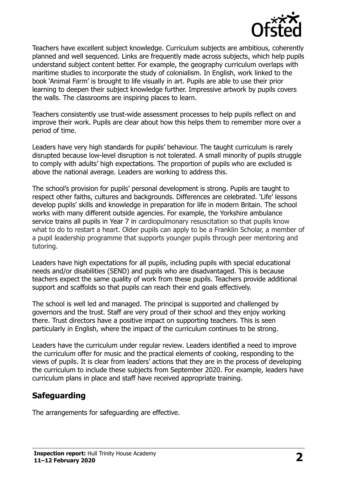

Teachers have excellent subject knowledge. Curriculum subjects are ambitious, coherently planned and well sequenced. Links are frequently made across subjects, which help pupils understand subject content better. For example, the geography curriculum overlaps with maritime studies to incorporate the study of colonialism. In English, work linked to the book 'Animal Farm' is brought to life visually in art. Pupils are able to use their prior learning to deepen their subject knowledge further. Impressive artwork by pupils covers the walls. The classrooms are inspiring places to learn.

Teachers consistently use trust-wide assessment processes to help pupils reflect on and improve their work. Pupils are clear about how this helps them to remember more over a period of time.

Leaders have very high standards for pupils' behaviour. The taught curriculum is rarely disrupted because low-level disruption is not tolerated. A small minority of pupils struggle to comply with adults' high expectations. The proportion of pupils who are excluded is above the national average. Leaders are working to address this.

The school's provision for pupils' personal development is strong. Pupils are taught to respect other faiths, cultures and backgrounds. Differences are celebrated. 'Life' lessons develop pupils' skills and knowledge in preparation for life in modern Britain. The school works with many different outside agencies. For example, the Yorkshire ambulance service trains all pupils in Year 7 in cardiopulmonary resuscitation so that pupils know what to do to restart a heart. Older pupils can apply to be a Franklin Scholar, a member of a pupil leadership programme that supports younger pupils through peer mentoring and tutoring.

Leaders have high expectations for all pupils, including pupils with special educational needs and/or disabilities (SEND) and pupils who are disadvantaged. This is because teachers expect the same quality of work from these pupils. Teachers provide additional support and scaffolds so that pupils can reach their end goals effectively.

The school is well led and managed. The principal is supported and challenged by governors and the trust. Staff are very proud of their school and they enjoy working there. Trust directors have a positive impact on supporting teachers. This is seen particularly in English, where the impact of the curriculum continues to be strong.

Leaders have the curriculum under regular review. Leaders identified a need to improve the curriculum offer for music and the practical elements of cooking, responding to the views of pupils. It is clear from leaders' actions that they are in the process of developing the curriculum to include these subjects from September 2020. For example, leaders have curriculum plans in place and staff have received appropriate training.

## **Safeguarding**

The arrangements for safeguarding are effective.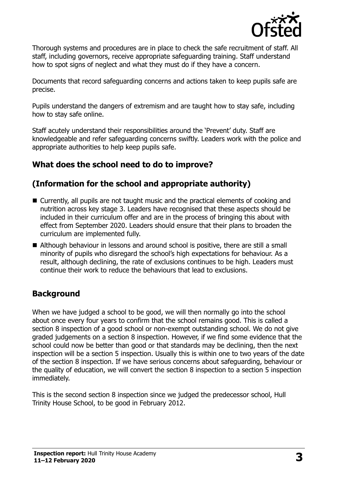

Thorough systems and procedures are in place to check the safe recruitment of staff. All staff, including governors, receive appropriate safeguarding training. Staff understand how to spot signs of neglect and what they must do if they have a concern.

Documents that record safeguarding concerns and actions taken to keep pupils safe are precise.

Pupils understand the dangers of extremism and are taught how to stay safe, including how to stay safe online.

Staff acutely understand their responsibilities around the 'Prevent' duty. Staff are knowledgeable and refer safeguarding concerns swiftly. Leaders work with the police and appropriate authorities to help keep pupils safe.

## **What does the school need to do to improve?**

## **(Information for the school and appropriate authority)**

- Currently, all pupils are not taught music and the practical elements of cooking and nutrition across key stage 3. Leaders have recognised that these aspects should be included in their curriculum offer and are in the process of bringing this about with effect from September 2020. Leaders should ensure that their plans to broaden the curriculum are implemented fully.
- Although behaviour in lessons and around school is positive, there are still a small minority of pupils who disregard the school's high expectations for behaviour. As a result, although declining, the rate of exclusions continues to be high. Leaders must continue their work to reduce the behaviours that lead to exclusions.

## **Background**

When we have judged a school to be good, we will then normally go into the school about once every four years to confirm that the school remains good. This is called a section 8 inspection of a good school or non-exempt outstanding school. We do not give graded judgements on a section 8 inspection. However, if we find some evidence that the school could now be better than good or that standards may be declining, then the next inspection will be a section 5 inspection. Usually this is within one to two years of the date of the section 8 inspection. If we have serious concerns about safeguarding, behaviour or the quality of education, we will convert the section 8 inspection to a section 5 inspection immediately.

This is the second section 8 inspection since we judged the predecessor school, Hull Trinity House School, to be good in February 2012.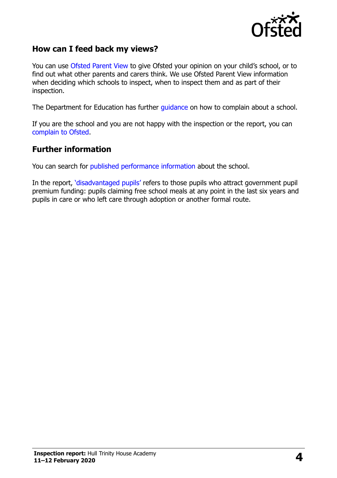

#### **How can I feed back my views?**

You can use [Ofsted Parent View](https://parentview.ofsted.gov.uk/) to give Ofsted your opinion on your child's school, or to find out what other parents and carers think. We use Ofsted Parent View information when deciding which schools to inspect, when to inspect them and as part of their inspection.

The Department for Education has further [guidance](http://www.gov.uk/complain-about-school) on how to complain about a school.

If you are the school and you are not happy with the inspection or the report, you can [complain to Ofsted.](https://www.gov.uk/complain-ofsted-report)

#### **Further information**

You can search for [published performance information](http://www.compare-school-performance.service.gov.uk/) about the school.

In the report, '[disadvantaged pupils](http://www.gov.uk/guidance/pupil-premium-information-for-schools-and-alternative-provision-settings)' refers to those pupils who attract government pupil premium funding: pupils claiming free school meals at any point in the last six years and pupils in care or who left care through adoption or another formal route.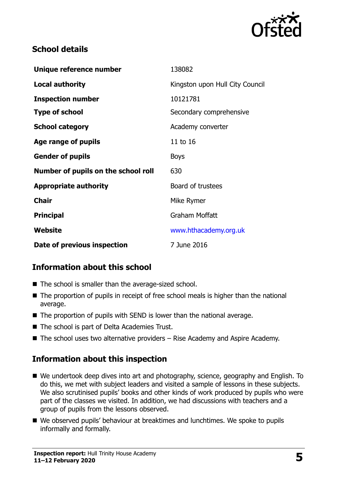

#### **School details**

| Unique reference number             | 138082                          |
|-------------------------------------|---------------------------------|
| <b>Local authority</b>              | Kingston upon Hull City Council |
| <b>Inspection number</b>            | 10121781                        |
| <b>Type of school</b>               | Secondary comprehensive         |
| <b>School category</b>              | Academy converter               |
| Age range of pupils                 | 11 to 16                        |
| <b>Gender of pupils</b>             | <b>Boys</b>                     |
| Number of pupils on the school roll | 630                             |
| <b>Appropriate authority</b>        | Board of trustees               |
| <b>Chair</b>                        | Mike Rymer                      |
| <b>Principal</b>                    | Graham Moffatt                  |
| Website                             | www.hthacademy.org.uk           |
| Date of previous inspection         | 7 June 2016                     |

## **Information about this school**

- The school is smaller than the average-sized school.
- The proportion of pupils in receipt of free school meals is higher than the national average.
- The proportion of pupils with SEND is lower than the national average.
- The school is part of Delta Academies Trust.
- $\blacksquare$  The school uses two alternative providers Rise Academy and Aspire Academy.

## **Information about this inspection**

- We undertook deep dives into art and photography, science, geography and English. To do this, we met with subject leaders and visited a sample of lessons in these subjects. We also scrutinised pupils' books and other kinds of work produced by pupils who were part of the classes we visited. In addition, we had discussions with teachers and a group of pupils from the lessons observed.
- We observed pupils' behaviour at breaktimes and lunchtimes. We spoke to pupils informally and formally.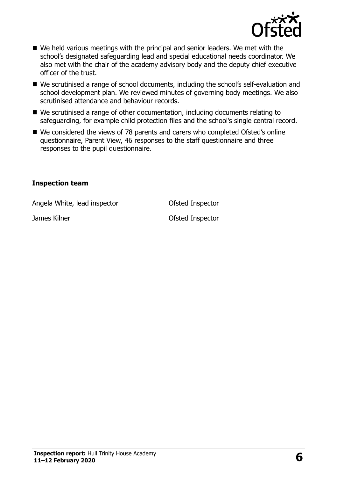

- We held various meetings with the principal and senior leaders. We met with the school's designated safeguarding lead and special educational needs coordinator. We also met with the chair of the academy advisory body and the deputy chief executive officer of the trust.
- We scrutinised a range of school documents, including the school's self-evaluation and school development plan. We reviewed minutes of governing body meetings. We also scrutinised attendance and behaviour records.
- We scrutinised a range of other documentation, including documents relating to safeguarding, for example child protection files and the school's single central record.
- We considered the views of 78 parents and carers who completed Ofsted's online questionnaire, Parent View, 46 responses to the staff questionnaire and three responses to the pupil questionnaire.

#### **Inspection team**

Angela White, lead inspector **CEAN COLLEGE** Of Sted Inspector

James Kilner **National Structure Control** Control Ofsted Inspector